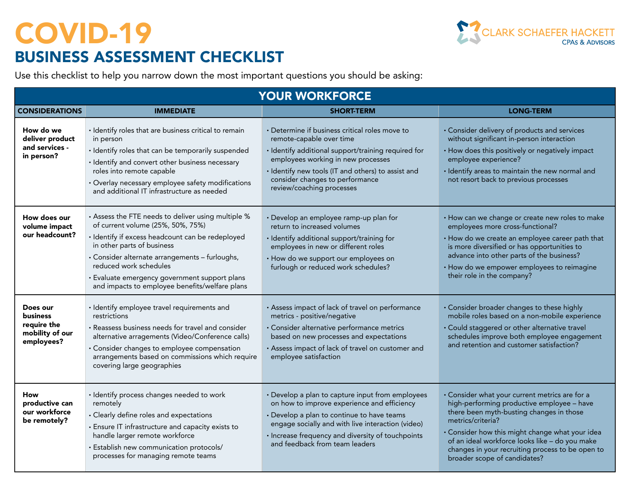

| <b>YOUR WORKFORCE</b>                                                       |                                                                                                                                                                                                                                                                                                                                                          |                                                                                                                                                                                                                                                                                               |                                                                                                                                                                                                                                                                                                                                                        |  |  |
|-----------------------------------------------------------------------------|----------------------------------------------------------------------------------------------------------------------------------------------------------------------------------------------------------------------------------------------------------------------------------------------------------------------------------------------------------|-----------------------------------------------------------------------------------------------------------------------------------------------------------------------------------------------------------------------------------------------------------------------------------------------|--------------------------------------------------------------------------------------------------------------------------------------------------------------------------------------------------------------------------------------------------------------------------------------------------------------------------------------------------------|--|--|
| <b>CONSIDERATIONS</b>                                                       | <b>IMMEDIATE</b>                                                                                                                                                                                                                                                                                                                                         | <b>SHORT-TERM</b>                                                                                                                                                                                                                                                                             | <b>LONG-TERM</b>                                                                                                                                                                                                                                                                                                                                       |  |  |
| How do we<br>deliver product<br>and services -<br>in person?                | · Identify roles that are business critical to remain<br>in person<br>· Identify roles that can be temporarily suspended<br>· Identify and convert other business necessary<br>roles into remote capable<br>• Overlay necessary employee safety modifications<br>and additional IT infrastructure as needed                                              | · Determine if business critical roles move to<br>remote-capable over time<br>· Identify additional support/training required for<br>employees working in new processes<br>· Identify new tools (IT and others) to assist and<br>consider changes to performance<br>review/coaching processes | · Consider delivery of products and services<br>without significant in-person interaction<br>• How does this positively or negatively impact<br>employee experience?<br>· Identify areas to maintain the new normal and<br>not resort back to previous processes                                                                                       |  |  |
| How does our<br>volume impact<br>our headcount?                             | . Assess the FTE needs to deliver using multiple %<br>of current volume (25%, 50%, 75%)<br>· Identify if excess headcount can be redeployed<br>in other parts of business<br>· Consider alternate arrangements - furloughs,<br>reduced work schedules<br>· Evaluate emergency government support plans<br>and impacts to employee benefits/welfare plans | · Develop an employee ramp-up plan for<br>return to increased volumes<br>· Identify additional support/training for<br>employees in new or different roles<br>• How do we support our employees on<br>furlough or reduced work schedules?                                                     | • How can we change or create new roles to make<br>employees more cross-functional?<br>• How do we create an employee career path that<br>is more diversified or has opportunities to<br>advance into other parts of the business?<br>• How do we empower employees to reimagine<br>their role in the company?                                         |  |  |
| Does our<br><b>business</b><br>require the<br>mobility of our<br>employees? | · Identify employee travel requirements and<br>restrictions<br>· Reassess business needs for travel and consider<br>alternative arragements (Video/Conference calls)<br>· Consider changes to employee compensation<br>arrangements based on commissions which require<br>covering large geographies                                                     | • Assess impact of lack of travel on performance<br>metrics - positive/negative<br>· Consider alternative performance metrics<br>based on new processes and expectations<br>· Assess impact of lack of travel on customer and<br>employee satisfaction                                        | • Consider broader changes to these highly<br>mobile roles based on a non-mobile experience<br>· Could staggered or other alternative travel<br>schedules improve both employee engagement<br>and retention and customer satisfaction?                                                                                                                 |  |  |
| How<br>productive can<br>our workforce<br>be remotely?                      | · Identify process changes needed to work<br>remotely<br>• Clearly define roles and expectations<br>• Ensure IT infrastructure and capacity exists to<br>handle larger remote workforce<br>· Establish new communication protocols/<br>processes for managing remote teams                                                                               | • Develop a plan to capture input from employees<br>on how to improve experience and efficiency<br>• Develop a plan to continue to have teams<br>engage socially and with live interaction (video)<br>· Increase frequency and diversity of touchpoints<br>and feedback from team leaders     | · Consider what your current metrics are for a<br>high-performing productive employee - have<br>there been myth-busting changes in those<br>metrics/criteria?<br>• Consider how this might change what your idea<br>of an ideal workforce looks like - do you make<br>changes in your recruiting process to be open to<br>broader scope of candidates? |  |  |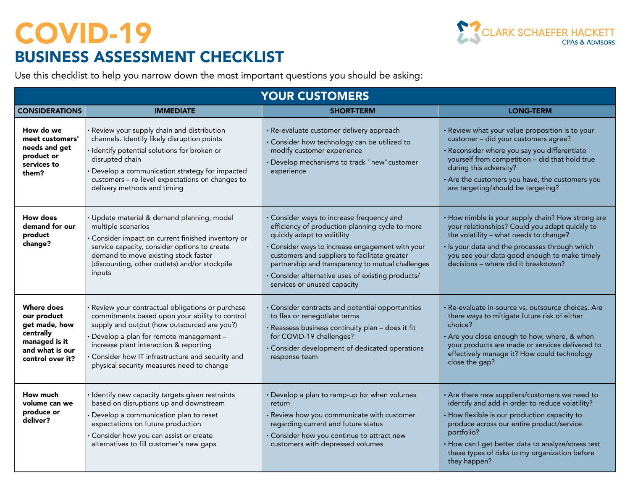

| <b>YOUR CUSTOMERS</b>                                                                                                  |                                                                                                                                                                                                                                                                                                                                            |                                                                                                                                                                                                                                                                                                                                                                           |                                                                                                                                                                                                                                                                                                                                      |  |  |
|------------------------------------------------------------------------------------------------------------------------|--------------------------------------------------------------------------------------------------------------------------------------------------------------------------------------------------------------------------------------------------------------------------------------------------------------------------------------------|---------------------------------------------------------------------------------------------------------------------------------------------------------------------------------------------------------------------------------------------------------------------------------------------------------------------------------------------------------------------------|--------------------------------------------------------------------------------------------------------------------------------------------------------------------------------------------------------------------------------------------------------------------------------------------------------------------------------------|--|--|
| <b>CONSIDERATIONS</b>                                                                                                  | <b>IMMEDIATE</b>                                                                                                                                                                                                                                                                                                                           | <b>SHORT-TERM</b>                                                                                                                                                                                                                                                                                                                                                         | <b>LONG-TERM</b>                                                                                                                                                                                                                                                                                                                     |  |  |
| How do we<br>meet customers'<br>needs and get<br>product or<br>services to<br>them?                                    | · Review your supply chain and distribution<br>channels. Identify likely disruption points<br>· Identify potential solutions for broken or<br>disrupted chain<br>• Develop a communication strategy for impacted<br>customers - re-level expectations on changes to<br>delivery methods and timing                                         | · Re-evaluate customer delivery approach<br>· Consider how technology can be utilized to<br>modify customer experience<br>• Develop mechanisms to track "new" customer<br>experience                                                                                                                                                                                      | · Review what your value proposition is to your<br>customer - did your customers agree?<br>· Reconsider where you say you differentiate<br>yourself from competition - did that hold true<br>during this adversity?<br>• Are the customers you have, the customers you<br>are targeting/should be targeting?                         |  |  |
| How does<br>demand for our<br>product<br>change?                                                                       | · Update material & demand planning, model<br>multiple scenarios<br>· Consider impact on current finished inventory or<br>service capacity, consider options to create<br>demand to move existing stock faster<br>(discounting, other outlets) and/or stockpile<br>inputs                                                                  | · Consider ways to increase frequency and<br>efficiency of production planning cycle to more<br>quickly adapt to volitility<br>· Consider ways to increase engagement with your<br>customers and suppliers to facilitate greater<br>partnership and transparency to mutual challenges<br>· Consider alternative uses of existing products/<br>services or unused capacity | • How nimble is your supply chain? How strong are<br>your relationships? Could you adapt quickly to<br>the volatility - what needs to change?<br>· Is your data and the processes through which<br>you see your data good enough to make timely<br>decisions - where did it breakdown?                                               |  |  |
| <b>Where does</b><br>our product<br>get made, how<br>centrally<br>managed is it<br>and what is our<br>control over it? | · Review your contractual obligations or purchase<br>commitments based upon your ability to control<br>supply and output (how outsourced are you?)<br>· Develop a plan for remote management -<br>increase plant interaction & reporting<br>· Consider how IT infrastructure and security and<br>physical security measures need to change | · Consider contracts and potential opportunities<br>to flex or renegotiate terms<br>· Reassess business continuity plan - does it fit<br>for COVID-19 challenges?<br>· Consider development of dedicated operations<br>response team                                                                                                                                      | · Re-evaluate in-source vs. outsource choices. Are<br>there ways to mitigate future risk of either<br>choice?<br>• Are you close enough to how, where, & when<br>your products are made or services delivered to<br>effectively manage it? How could technology<br>close the gap?                                                    |  |  |
| How much<br>volume can we<br>produce or<br>deliver?                                                                    | · Identify new capacity targets given restraints<br>based on disruptions up and downstream<br>· Develop a communication plan to reset<br>expectations on future production<br>· Consider how you can assist or create<br>alternatives to fill customer's new gaps                                                                          | • Develop a plan to ramp-up for when volumes<br>return<br>· Review how you communicate with customer<br>regarding current and future status<br>· Consider how you continue to attract new<br>customers with depressed volumes                                                                                                                                             | • Are there new suppliers/customers we need to<br>identify and add in order to reduce volatility?<br>· How flexible is our production capacity to<br>produce across our entire product/service<br>portfolio?<br>· How can I get better data to analyze/stress test<br>these types of risks to my organization before<br>they happen? |  |  |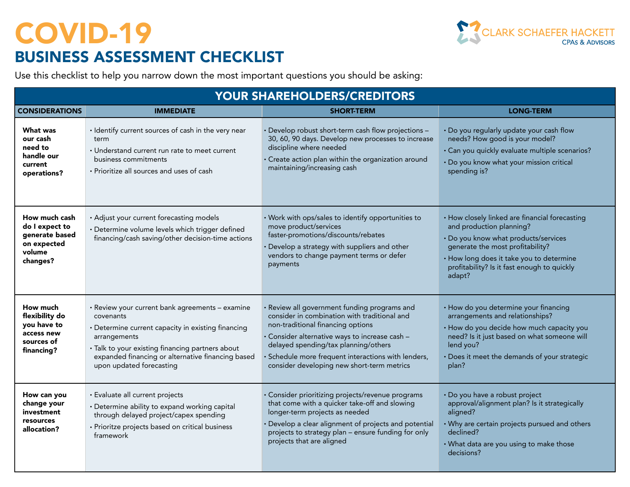CLARK SCHAEFER HACKETT

| <b>YOUR SHAREHOLDERS/CREDITORS</b>                                                     |                                                                                                                                                                                                                                                                         |                                                                                                                                                                                                                                                                                                                              |                                                                                                                                                                                                                                                             |  |  |
|----------------------------------------------------------------------------------------|-------------------------------------------------------------------------------------------------------------------------------------------------------------------------------------------------------------------------------------------------------------------------|------------------------------------------------------------------------------------------------------------------------------------------------------------------------------------------------------------------------------------------------------------------------------------------------------------------------------|-------------------------------------------------------------------------------------------------------------------------------------------------------------------------------------------------------------------------------------------------------------|--|--|
| <b>CONSIDERATIONS</b>                                                                  | <b>IMMEDIATE</b>                                                                                                                                                                                                                                                        | <b>SHORT-TERM</b>                                                                                                                                                                                                                                                                                                            | <b>LONG-TERM</b>                                                                                                                                                                                                                                            |  |  |
| What was<br>our cash<br>need to<br>handle our<br>current<br>operations?                | · Identify current sources of cash in the very near<br>term<br>• Understand current run rate to meet current<br>business commitments<br>· Prioritize all sources and uses of cash                                                                                       | Develop robust short-term cash flow projections -<br>30, 60, 90 days. Develop new processes to increase<br>discipline where needed<br>· Create action plan within the organization around<br>maintaining/increasing cash                                                                                                     | . Do you regularly update your cash flow<br>needs? How good is your model?<br>· Can you quickly evaluate multiple scenarios?<br>· Do you know what your mission critical<br>spending is?                                                                    |  |  |
| How much cash<br>do I expect to<br>generate based<br>on expected<br>volume<br>changes? | · Adjust your current forecasting models<br>· Determine volume levels which trigger defined<br>financing/cash saving/other decision-time actions                                                                                                                        | · Work with ops/sales to identify opportunities to<br>move product/services<br>faster-promotions/discounts/rebates<br>Develop a strategy with suppliers and other<br>vendors to change payment terms or defer<br>payments                                                                                                    | • How closely linked are financial forecasting<br>and production planning?<br>· Do you know what products/services<br>generate the most profitability?<br>· How long does it take you to determine<br>profitability? Is it fast enough to quickly<br>adapt? |  |  |
| How much<br>flexibility do<br>you have to<br>access new<br>sources of<br>financing?    | · Review your current bank agreements - examine<br>covenants<br>• Determine current capacity in existing financing<br>arrangements<br>· Talk to your existing financing partners about<br>expanded financing or alternative financing based<br>upon updated forecasting | Review all government funding programs and<br>consider in combination with traditional and<br>non-traditional financing options<br>· Consider alternative ways to increase cash -<br>delayed spending/tax planning/others<br>Schedule more frequent interactions with lenders,<br>consider developing new short-term metrics | • How do you determine your financing<br>arrangements and relationships?<br>• How do you decide how much capacity you<br>need? Is it just based on what someone will<br>lend you?<br>· Does it meet the demands of your strategic<br>plan?                  |  |  |
| How can you<br>change your<br>investment<br>resources<br>allocation?                   | · Evaluate all current projects<br>· Determine ability to expand working capital<br>through delayed project/capex spending<br>· Prioritze projects based on critical business<br>framework                                                                              | Consider prioritizing projects/revenue programs<br>that come with a quicker take-off and slowing<br>longer-term projects as needed<br>Develop a clear alignment of projects and potential<br>projects to strategy plan - ensure funding for only<br>projects that are aligned                                                | · Do you have a robust project<br>approval/alignment plan? Is it strategically<br>aligned?<br>• Why are certain projects pursued and others<br>declined?<br>• What data are you using to make those<br>decisions?                                           |  |  |